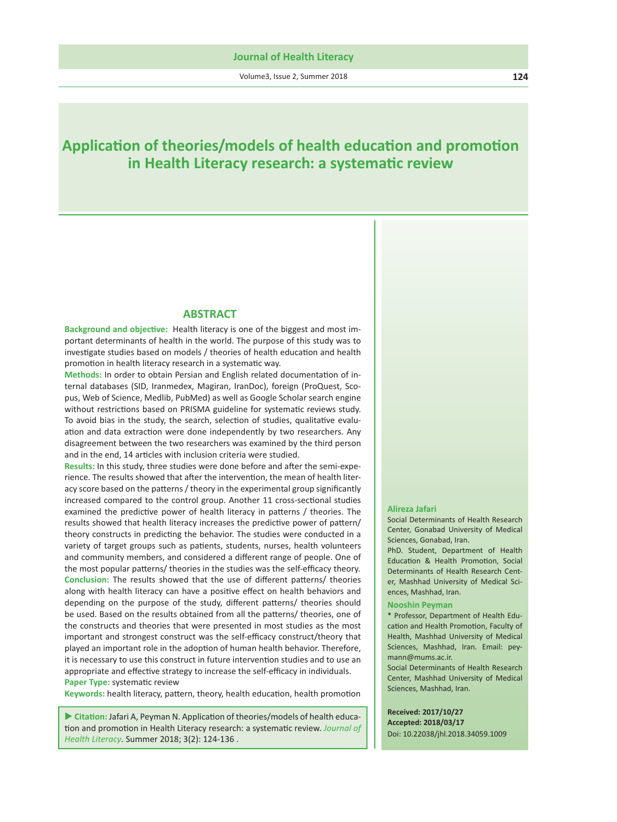Volume3, Issue 2, Summer 2018 **124**

# **Application of theories/models of health education and promotion in Health Literacy research: a systematic review**

### **ABSTRACT**

**Background and objective:** Health literacy is one of the biggest and most important determinants of health in the world. The purpose of this study was to investigate studies based on models / theories of health education and health promotion in health literacy research in a systematic way.

**Methods:** In order to obtain Persian and English related documentation of internal databases (SID, Iranmedex, Magiran, IranDoc), foreign (ProQuest, Scopus, Web of Science, Medlib, PubMed) as well as Google Scholar search engine without restrictions based on PRISMA guideline for systematic reviews study. To avoid bias in the study, the search, selection of studies, qualitative evaluation and data extraction were done independently by two researchers. Any disagreement between the two researchers was examined by the third person and in the end, 14 articles with inclusion criteria were studied.

**Results:** In this study, three studies were done before and after the semi-experience. The results showed that after the intervention, the mean of health literacy score based on the patterns / theory in the experimental group significantly increased compared to the control group. Another 11 cross-sectional studies examined the predictive power of health literacy in patterns / theories. The results showed that health literacy increases the predictive power of pattern/ theory constructs in predicting the behavior. The studies were conducted in a variety of target groups such as patients, students, nurses, health volunteers and community members, and considered a different range of people. One of the most popular patterns/ theories in the studies was the self-efficacy theory. **Conclusion:** The results showed that the use of different patterns/ theories along with health literacy can have a positive effect on health behaviors and depending on the purpose of the study, different patterns/ theories should be used. Based on the results obtained from all the patterns/ theories, one of the constructs and theories that were presented in most studies as the most important and strongest construct was the self-efficacy construct/theory that played an important role in the adoption of human health behavior. Therefore, it is necessary to use this construct in future intervention studies and to use an appropriate and effective strategy to increase the self-efficacy in individuals. **Paper Type:** systematic review

**Keywords:** health literacy, pattern, theory, health education, health promotion

 **Citation:** Jafari A, Peyman N. Application of theories/models of health education and promotion in Health Literacy research: a systematic review. *Journal of Health Literacy*. Summer 2018; 3(2): 124-136 .

#### **Alireza Jafari**

Social Determinants of Health Research Center, Gonabad University of Medical Sciences, Gonabad, Iran.

PhD. Student, Department of Health Education & Health Promotion, Social Determinants of Health Research Center, Mashhad University of Medical Sciences, Mashhad, Iran.

#### **Nooshin Peyman**

\* Professor, Department of Health Education and Health Promotion, Faculty of Health, Mashhad University of Medical Sciences, Mashhad, Iran. Email: peymann@mums.ac.ir.

Social Determinants of Health Research Center, Mashhad University of Medical Sciences, Mashhad, Iran.

**Received: 2017/10/27 Accepted: 2018/03/17**  Doi: 10.22038/jhl.2018.34059.1009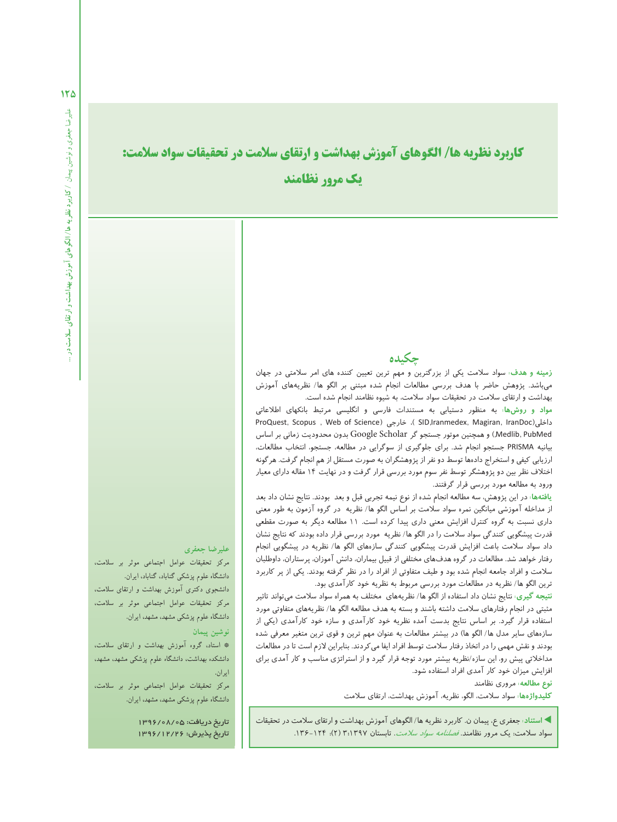$150$ 

# **كاربرد نظريه ها/ الگوهاى آموزش بهداشت و ارتقاى سلامت در تحقيقات سواد سلامت: يك مرور نظامند**

### **چكيده**

**زمينه و هدف:** سواد سلامت يكى از بزرگترين و مهم ترين تعيين كننده هاى امر سلامتى در جهان مىباشد . پژوهش حاضر با هدف بررسى مطالعات انجام شده مبتنى بر الگو ها/ نظريههاى آموزش بهداشت و ارتقاى سلامت در تحقيقات سواد سلامت، به شيوه نظامند انجام شده است.

**مواد و روشها:** به منظور دستيابى به مستندات فارسى و انگليسى مرتبط بانكهاي اطلاعاتى ProQuest, Scopus, Web of Science) ، خارجى (SID,Iranmedex, Magiran, IranDoc PubMed ,Medlib, (و همچنين موتور جستجو گر Scholar Google بدون محدوديت زمانى بر اساس بيانيه PRISMA جستجو انجام شد . براي جلوگيري از سوگرايى در مطالعه، جستجو، انتخاب مطالعات، ارزيابى كيفى و استخراج دادهها توسط دو نفر از پژوهشگران به صورت مستقل از هم انجام گرفت. هرگونه اختلاف نظر بين دو پژوهشگر توسط نفر سوم مورد بررسى قرار گرفت و در نهايت 14 مقاله داراى معيار ورود به مطالعه مورد بررسى قرار گرفتند .

**يافتهها:** در اين پژوهش، سه مطالعه انجام شده از نوع نيمه تجربى قبل و بعد بودند . نتايج نشان داد بعد از مداخله آموزشى ميانگين نمره سواد سلامت بر اساس الگو ها/ نظريه در گروه آزمون به طور معنى دارى نسبت به گروه كنترل افزايش معنى دارى پيدا كرده است. 11 مطالعه ديگر به صورت مقطعى قدرت پيشگويى كنندگى سواد سلامت را در الگو ها/ نظريه مورد بررسى قرار داده بودند كه نتايج نشان داد سواد سلامت باعث افزايش قدرت پيشگويى كنندگى سازههاى الگو ها/ نظريه در پيشگويى انجام رفتار خواهد شد . مطالعات در گروه هدفهاى مختلفى از قبيل بيماران، دانش آموزان، پرستاران، داوطلبان سلامت و افراد جامعه انجام شده بود و طيف متفاوتى از افراد را در نظر گرفته بودند . يكى از پر كاربرد ترين الگو ها/ نظريه در مطالعات مورد بررسى مربوط به نظريه خود كارآمدى بود .

**نتيجه گيرى:** نتايج نشان داد استفاده از الگو ها/ نظريههاى مختلف به همراه سواد سلامت مىتواند تاثير مثبتى در انجام رفتارهاى سلامت داشته باشند و بسته به هدف مطالعه الگو ها/ نظريههاى متفاوتى مورد استفاده قرار گيرد . بر اساس نتايج بدست آمده نظريه خود كارآمدى و سازه خود كارآمدى (يكى از سازههاى ساير مدل ها/ الگو ها) در بيشتر مطالعات به عنوان مهم ترين و قوى ترين متغير معرفى شده بودند و نقش مهمى را در اتخاذ رفتار سلامت توسط افراد ايفا مىكردند . بنابراين لازم است تا در مطالعات مداخلاتى پيش رو، اين سازه/نظريه بيشتر مورد توجه قرار گيرد و از استراتژى مناسب و كار آمدى براى افزايش ميزان خود كار آمدى افراد استفاده شود .

#### **نوع مطالعه:** مرورى نظامند

**كليدواژهها:** سواد سلامت، الگو، نظريه، آموزش بهداشت، ارتقاى سلامت

 **استناد :** جعفرى ع، پيمان ن. كاربرد نظريه ها/ الگوهاى آموزش بهداشت و ارتقاى سلامت در تحقيقات سواد سلامت: يک مرور نظامند. *فصلنامه سواد سلامت*. تابستان ۱۳۹۷؛۳ (۲): ۱۳۶-۱۳۶.

### **عليرضا جعفرى**

مركز تحقيقات عوامل اجتماعى موثر بر سلامت، دانشگاه علوم پزشكى گناباد، گناباد، ايران. دانشجوى دكترى آموزش بهداشت و ارتقاى سلامت، مركز تحقيقات عوامل اجتماعى موثر بر سلامت، دانشگاه علوم پزشكى مشهد، مشهد، ايران.

**نوشين پيمان**

\* استاد، گروه آموزش بهداشت و ارتقاى سلامت، دانشكده بهداشت، دانشگاه علوم پزشكى مشهد، مشهد، ايران.

مركز تحقيقات عوامل اجتماعى موثر بر سلامت، دانشگاه علوم پزشكى مشهد، مشهد، ايران.

> تاريخ دريافت: 1396/08/05 تاريخ پذيرش: 1396/12/26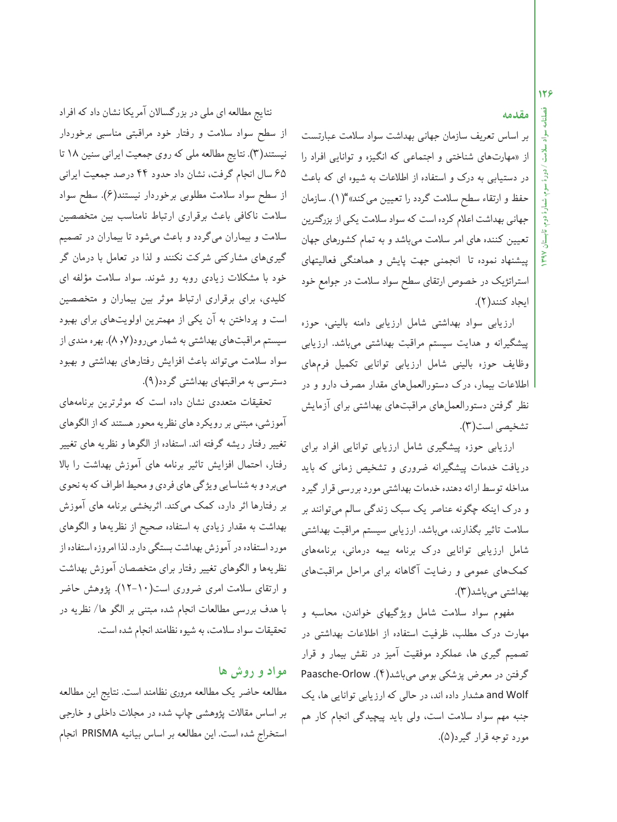### **مقدمه**

بر اساس تعريف سازمان جهانى بهداشت سواد سلامت عبارتست از «مهارتهاى شناختى و اجتماعى كه انگيزه و توانايى افراد را در دستيابى به درك و استفاده از اطلاعات به شيوه اى كه باعث حفظ و ارتقاءسطح سلامت گردد را تعيين مىكند» "(1). سازمان جهاني بهداشت اعلام كرده است كه سواد سلامت يكي از بزرگترين تعيين كننده هاى امرسلامت مىباشد و به تمام كشورهاى جهان پيشنهاد نموده تا انجمنى جهت پايش و هماهنگى فعاليتهاى استراتژيك در خصوص ارتقاى سطح سواد سلامت در جوامع خود ايجاد كنند (2).

ارزيابى سواد بهداشتى شامل ارزيابى دامنه بالينى، حوزه پيشگيرانه و هدايت سيستم مراقبت بهداشتى مىباشد . ارزيابى وظايف حوزه بالينى شامل ارزيابى توانايى تكميل فرمهاى اطلاعات بيمار، درك دستورالعملهاى مقدار مصرف دارو و در نظر گرفتن دستورالعملهاى مراقبتهاى بهداشتى براى آزمايش تشخيصى است(3).

ارزيابى حوزه پيشگيرى شامل ارزيابى توانايى افراد براى دريافت خدمات پيشگيرانه ضرورى و تشخيص زمانى كه بايد مداخله توسط ارائه دهنده خدمات بهداشتى مورد بررسى قرار گيرد و درك اينكه چگونه عناصر يك سبك زندگى سالم مىتوانند بر سلامت تاثير بگذارند، مىباشد . ارزيابى سيستم مراقبت بهداشتى شامل ارزيابى توانايى درك برنامه بيمه درمانى، برنامههاى كمكهاى عمومى و رضايت آگاهانه براى مراحل مراقبتهاى بهداشتى مىباشد (3).

مفهوم سواد سلامت شامل ويژگيهاى خواندن، محاسبه و مهارت درك مطلب، ظرفيت استفاده از اطلاعات بهداشتى در تصميم گيرى ها، عملكرد موفقيت آميز در نقش بيمار و قرار گرفتن در معرض پزشكى بومى مىباشد (4). Orlow-Paasche Wolf and هشدار داده اند، در حالى كه ارزيابى توانايى ها، يك جنبه مهم سواد سلامت است، ولى بايد پيچيدگى انجام كار هم مورد توجه قرار گيرد (5).

نتايج مطالعه اى ملى در بزرگسالان آمريكا نشان داد كه افراد از سطح سواد سلامت و رفتار خود مراقبتى مناسبى برخوردار نيستند (3). نتايج مطالعه ملى كهروى جمعيت ايرانى سنين 18 تا 65 سال انجام گرفت، نشان داد حدود 44 درصد جمعيت ايرانى از سطح سواد سلامت مطلوبى برخوردار نيستند (6). سطح سواد سلامت ناكافى باعث برقرارى ارتباط نامناسب بين متخصصين سلامت و بيماران مىگردد و باعث مىشود تا بيماران در تصميم گيرىهاى مشاركتى شركت نكنند و لذا در تعامل با درمان گر خود با مشكلات زيادى روبه رو شوند . سواد سلامت مؤلفه اى كليدى، براى برقرارى ارتباط موثر بين بيماران و متخصصين است و پرداختن به آن يكى از مهمترين اولويتهاى براى بهبود سيستم مراقبتهاى بهداشتى بهشمار مىرود (,7 8). بهره مندى از سواد سلامت مىتواند باعث افزايش رفتارهاى بهداشتى و بهبود دسترسى به مراقبتهاى بهداشتي گردد (9).

تحقيقات متعددى نشان داده است كه موثرترين برنامههاى آموزشى، مبتنى بر رويكرد هاى نظريه محور هستند كه از الگوهاى تغيير رفتار ريشه گرفته اند . استفاده از الگوها و نظريه هاي تغيير رفتار، احتمال افزايش تاثير برنامه هاي آموزش بهداشت را بالا مىبرد و به شناسايى ويژگى هاى فردى و محيط اطراف كه به نحوى بر رفتارها اثر دارد، كمك مىكند . اثربخشى برنامه هاي آموزش بهداشت به مقدار زيادى به استفاده صحيح از نظريهها و الگوهاى مورد استفاده در آموزش بهداشت بستگى دارد. لذا امروزه استفاده از نظريهها و الگوهاى تغيير رفتار براى متخصصان آموزش بهداشت و ارتقاى سلامت امرى ضرورى است(12-10). پژوهش حاضر با هدف بررسى مطالعات انجام شده مبتنى بر الگو ها/ نظريه در تحقيقات سواد سلامت، به شيوه نظامند انجام شده است.

### **مواد و روش ها**

مطالعه حاضر يك مطالعه مرورى نظامند است. نتايج اين مطالعه بر اساس مقالات پژوهشى چاپ شده در مجلات داخلى و خارجى استخراج شده است. اين مطالعه بر اساس بيانيه PRISMA انجام **سواد**

**سلامت / دورة**

 **سوم، شمارة دوم، تابستان 1397**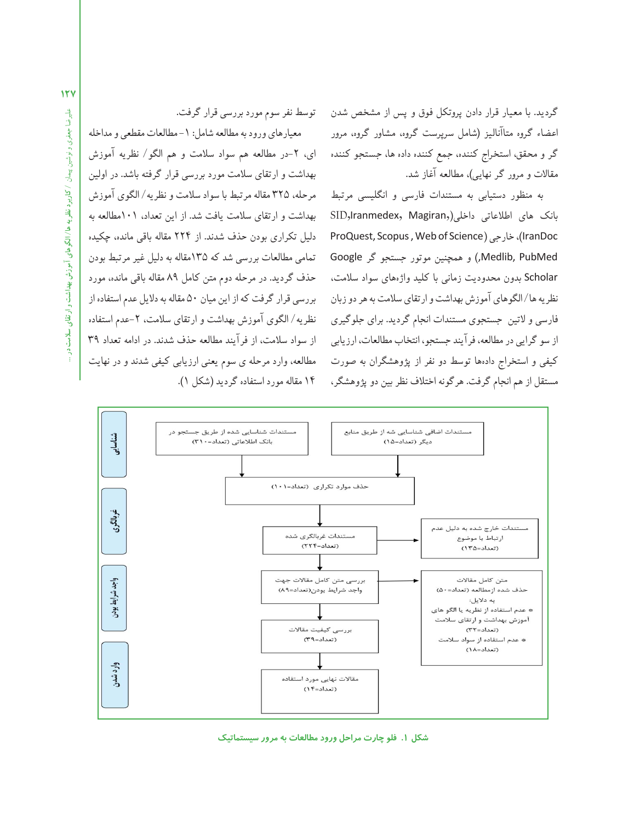گرديد . با معيار قرار دادن پروتكل فوق و پس از مشخص شدن اعضاء گروه متاآناليز (شامل سرپرست گروه، مشاور گروه، مرور گر و محقق، استخراج كننده، جمع كننده داده ها، جستجو كننده مقالات و مرور گر نهايى)، مطالعه آغازشد .

به منظور دستيابى به مستندات فارسى و انگليسى مرتبط بانك هاي اطلاعاتي داخلي(SID,Iranmedex, Magiran, ProQuest, Scopus , Web of Science) خارجى ،)IranDoc PubMed ,Medlib, (و همچنين موتور جستجو گر Google Scholar بدون محدوديت زمانى با كليد واژههاى سواد سلامت، نظريه ها/الگوهاى آموزش بهداشت و ارتقاى سلامت به هر دو زبان فارسى و لاتين جستجوى مستندات انجامگرديد . براي جلوگيرى از سو گرايى در مطالعه، فرآيند جستجو، انتخاب مطالعات، ارزيابى كيفى و استخراج دادهها توسط دو نفر از پژوهشگران به صورت مستقل ازهم انجامگرفت. هرگونه اختلافنظربين دوپژوهشگر،

توسط نفرسوممورد بررسى قرارگرفت. معيارهاى ورود به مطالعه شامل: ١- مطالعات مقطعى و مداخله اى، -2در مطالعه هم سواد سلامت و هم الگو/ نظريه آموزش بهداشت و ارتقاى سلامت مورد بررسى قرار گرفته باشد . در اولين مرحله، 325 مقاله مرتبط باسواد سلامت ونظريه/ الگوى آموزش بهداشت و ارتقاى سلامت يافت شد . از اين تعداد، 101مطالعه به دليل تكرارى بودن حذف شدند . از 224 مقاله باقى مانده، چكيده تمامى مطالعات بررسى شد كه 135مقاله به دليل غيرمرتبط بودن حذف گرديد . در مرحله دوم متن كامل 89 مقاله باقى مانده، مورد بررسى قرار گرفت كه از اين ميان ۵۰ مقاله به دلايل عدم استفاده از نظريه/ الگوى آموزش بهداشت و ارتقاى سلامت، ٢-عدم استفاده از سواد سلامت، از فرآيند مطالعه حذف شدند . در ادامه تعداد 39 مطالعه، وارد مرحله ي سوم يعنى ارزيابى كيفى شدند و در نهايت ۱۴ مقاله مورد استفاده گرديد (شكل ۱).



**شكل .1 فلو چارت مراحل ورود مطالعات به مرور سيستماتيك**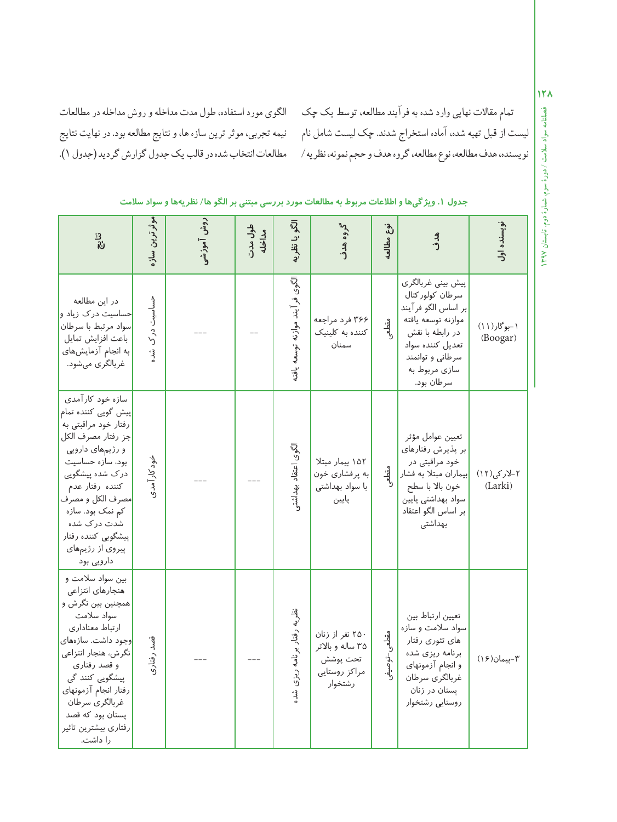نمام مقالات نهايي وارد شده به فرايند مطالعه، توسط يک چک الگوى مورد استفاده، طول مدت مداخله و روش مداخله در مطالعات نيمه تجربي، موثر ترين سازه ها، و نتايج مطالعه بود. در نهايت نتايج مطالعات انتخاب شده در قالب يك جدول گزارش گرديد (جدول ١).

ليست ازقبل تهيهشده، آماده استخراج شدند . چك ليست شامل نام نويسنده، هدف مطالعه، نوع مطالعه، گروه هدف و حجم نمونه، نظريه /

| ್ಯಗ                                                                                                                                                                                                                                                                                                                            | موثر ترین ساز    | روش آموزشی | طول مدت<br>مداخله | الگو یا نظریۂ                   | گروه هدف                                                                   | نوع مطالعه               | ھ<br>دۇ                                                                                                                                                                    | نویسنده اول             |
|--------------------------------------------------------------------------------------------------------------------------------------------------------------------------------------------------------------------------------------------------------------------------------------------------------------------------------|------------------|------------|-------------------|---------------------------------|----------------------------------------------------------------------------|--------------------------|----------------------------------------------------------------------------------------------------------------------------------------------------------------------------|-------------------------|
| در این مطالعه<br>حساسیت درک زیاد و <mark>.</mark><br>سواد مرتبط با سرطان<br>باعث افزايش تمايل<br>به انجام آزمایشهای<br>غربالگری میشود.                                                                                                                                                                                         | حساسیت درک<br>شد |            |                   | الگوی فرآیند موازنه توسعه یافته | ۳۶۶ فرد مراجعه<br>کننده به کلینیک<br>سمنان                                 | مقطعى                    | پیش بینی غربالگری<br>سرطان كولوركتال<br>بر اساس الگو فرآيند<br>موازنه توسعه يافته<br>در رابطه با نقش<br>تعديل كننده سواد<br>سرطاني وتوانمند<br>سازی مربوط به<br>سرطان بود. | ۱-بوگار(۱۱)<br>(Boogar) |
| سازه خود کار آمدی<br><mark>پیش گویی کننده تمام</mark><br>رفتار خود مراقبتی به<br>جز رفتار مصرف الكل <mark>ا</mark><br>و رژیمهای دارویی<br>بود، سازه حساسیت<br>درک شده پیشگویی<br>كننده رفتار عدم<br><mark>امصرف الكل و مصرف</mark><br>کم نمک بود. سازه<br>شدت درک شده<br>پیشگویی کننده رفتار<br>پیروی از رژیمهای<br>دارویی بود | خود کار آمدی     |            |                   | الگوى اعتقاد بهداشتى            | ١٥٢ بيمار مبتلا<br>به پرفشاری خون<br>با سواد بهداشتی<br>پايين              | مقطعى                    | تعيين عوامل مؤثر<br>بر پذیرش رفتارهای<br>خود مراقبتی در<br><mark>ا</mark> بیماران مبتلا به فشار<br>خون بالا با سطح<br>سواد بهداشتى پايين<br>بر اساس الگو اعتقاد<br>بهداشتى | ۲-لارکی(۱۲)<br>(Larki)  |
| بین سواد سلامت و<br>هنجارهای انتزاعی<br>همچنین بین نگرش و<br>سواد سلامت<br>ارتباط معنادارى<br><mark>ا</mark> وجود داشت. سازەھای<br>نگرش، هنجار انتزاعی<br>و قصد رفتاری<br>پیشگویی کنند گی<br>رفتار انجام آزمونهاى<br>غربالگرى سرطان<br>پستان بود که قصد<br>رفتارى بيشترين تاثير<br>را داشت.                                    | قصد رفتاري       |            |                   | نظریه رفتار برنامه ریزی شد.     | ۲۵۰ نفر از زنان<br>۳۵ ساله وبالاتر<br>تحت پوشش<br>مراكز روستايي<br>رشتخوار | ىقطعى–توصيف <sub>ى</sub> | تعيين ارتباط بين<br>سواد سلامت و سازه<br>های تئوری رفتار<br>برنامه ریزی شده<br>و انجام آزمونهای<br>غربالگرى سرطان<br>پستان در زنان<br>روستايي رشتخوار                      | ٣-پيمان(۱۶)             |

### جدول ۱. ویژگیها و اطلاعات مربوط به مطالعات مورد بررسی مبتنی بر الگو ها/ نظریهها و سواد سلامت

**فصلنامه**12X

 **1397**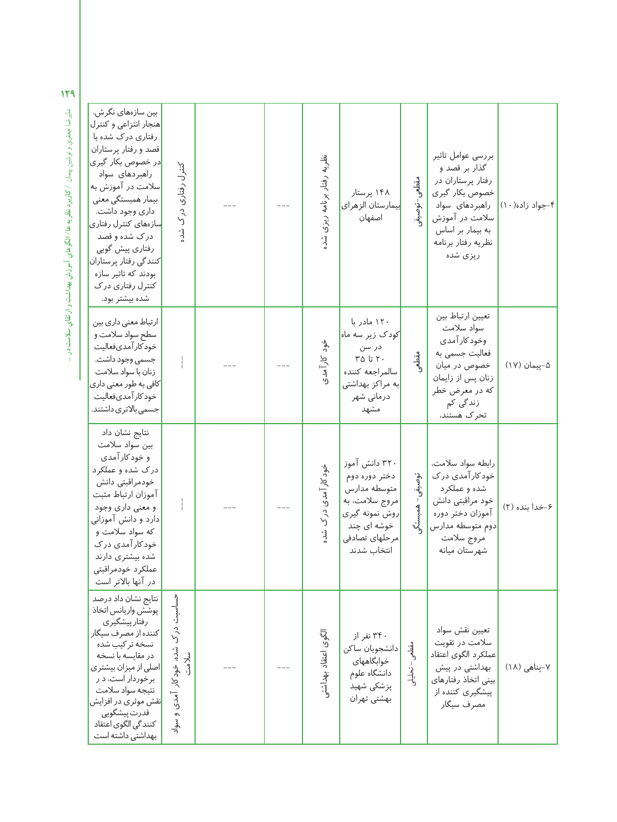| بین سازەھای نگر ش،<br>هنجار انتزاعى وكنترل<br>رفتاری درک شده با<br>قصد و رفتار پرستاران<br><mark>در خصوص بکار گیری</mark><br>راهبر دهای سواد<br>سلامت در آموزش به<br>بیمار همبستگی معنی<br>داري وجود داشت.<br><mark>سازههای کنترل رفتاری</mark><br>درک شده و قصد<br>رفتاري پيش گويي<br>كنندگى رفتار پرستاران<br>بودند که تاثیر سازه<br>کنترل رفتاری در ک<br>شده بیشتر بود. | کنترل رفتاری درک<br>مُد                            |  | نظریه رفتار برنامه<br>ريزى<br>وشد د      | ۱۴۸ پرستار<br><mark>بیمارستان الزهرای</mark><br>اصفهان                                                                             | مقطعى<br>، -توصينج  | بررسى عوامل تاثير<br>گذار بر قصد و<br>رفتار پرستاران در<br>خصوص بكار گيرى<br>راهبردهای سواد<br>سلامت در آموزش<br>به بیمار بر اساس<br>نظريه رفتار برنامه<br>ریزی شده | ۴-جواد زاده(١٠) |
|----------------------------------------------------------------------------------------------------------------------------------------------------------------------------------------------------------------------------------------------------------------------------------------------------------------------------------------------------------------------------|----------------------------------------------------|--|------------------------------------------|------------------------------------------------------------------------------------------------------------------------------------|---------------------|---------------------------------------------------------------------------------------------------------------------------------------------------------------------|-----------------|
| ارتباط معنى دارى بين<br>سطح سواد سلامت و<br>خودكار آمدىفعاليت<br>جسمي وجود داشت.<br>زنان با سواد سلامت<br> کافی به طور معنی داری<br>خود كار آمدىفعاليت<br>جسمى بالاترى داشتند.                                                                                                                                                                                             |                                                    |  | خود کار آمدی                             | ۱۲۰ مادر با<br>کودک زیر سه ماه<br>در سن<br>$Y \Delta$ تا ۲۵<br>سالمراجعه كننده<br>به مراکز بهداشتی<br>درمانی شهر<br>مشهد           | مقطع                | تعيين ارتباط بين<br>سواد سلامت<br>وخود کار آمدی<br>فعالیت جسمی به<br>خصوص در میان<br>زنان پس از زایمان<br>که در معرض خطر<br>زندگی کم<br>تحرک هستند،                 | ۵–پیمان (۱۷)    |
| نتایج نشان داد<br>بين سواد سلامت<br>و خود کار آمدی<br>درک شده و عملکرد<br>خودمراقبتي دانش<br>آموزان ارتباط مثبت<br>و معنی داری وجود<br>دارد و دانش آموزانی<br>که سواد سلامت و<br>خود کار آمدی در ک<br>شده بیشتری دارند<br>عملكرد خودمراقبتى<br>در آنها بالاتر است                                                                                                          |                                                    |  | خود کار آمدی<br>آدرك<br>$\ddot{\lambda}$ | ۳۲۰ دانش آموز<br>دختر دوره دوم<br>متوسطه مدارس<br>مروج سلامت، به<br>روش نمونه گیری<br>خوشه ای چند<br>مرحلهاى تصادفى<br>انتخاب شدند | توصيفى<br>Siminas - | رابطه سواد سلامت،<br>خود کار آمدی در ک<br>شده و عملکرد<br>خود مراقبتی دانش<br>آموزان دختر دوره<br>دوم متوسطه مدارس<br>مروج سلامت<br>شهرستان ميانه                   | ۶-خدا بنده (۲)  |
| نتايج نشان داد درصد<br>پوشش واريانس اتخاذ<br>رفتار پیشگیری<br>کننده از مصرف سیگار<br>نسخه تر کیب شده<br>در مقایسه با نسخه<br>اصلی از میزان بیشتری<br>برخوردار است، د ر<br>نتيجه سواد سلامت<br><mark>ا</mark> نقش موثری در افزایش<br>قدرت پیشگویی<br>كنندگى الگوى اعتقاد<br>بهداشتی داشته است                                                                               | حساسیت در ک<br>شده، خودکار آمدی و<br>سلامت<br>سواد |  | لگوى اعتقاد بهداشتو                      | ۳۴۰ نفر از<br>دانشجويان ساكن<br>خوابگاههای<br>دانشگاه علوم<br>پزشکی شهید<br>بهشتى تهران                                            | مقطعى– تحليلو       | تعيين نقش سواد<br>سلامت در تقویت<br>عملكرد الگوى اعتقاد<br>بهداشتی در پیش<br>بينى اتخاذ رفتارهاى<br>پیشگیری کننده از<br>مصرف سيگار                                  | ۷-پناهی (۱۸)    |

عليرضا جعفرى ونوشين پيمان **/ كاربرد نظريهها/ الگوهاى آموزش بهداشت وارتقاى سلامت در**هم الحايرضا جعفري و نوشين پيمان /كاربرد **نظر به ها /الگوهاي آموزش بهداشت و ارتقاي سلامت در ...**<br>هم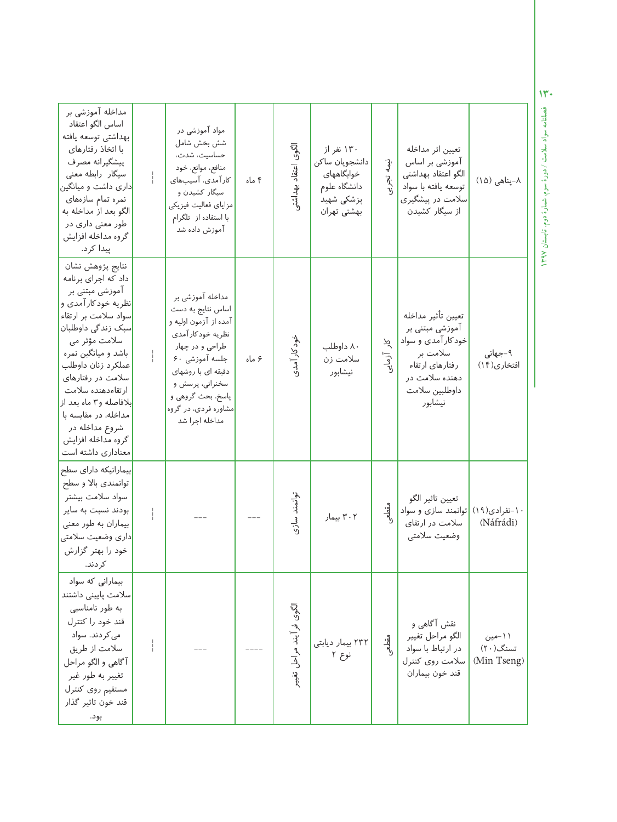| مداخله آموزشی بر<br>اساس الگو اعتقاد<br>بهداشتي توسعه يافته<br>با اتخاذ رفتارهای<br>پیشگیرانه مصرف<br>سیگار رابطه معنی<br><mark>داری داشت و میانگین</mark><br>نمره تمام سازههای<br>الگو بعد از مداخله به<br>طور معنی داری در<br>گروه مداخله افزایش<br>پيدا کر د.                                                                                                        | مواد آموزشی در<br>شش بخش شامل<br>حساسیت، شدت،<br>منافع، موانع، خود<br>کار آمدی، آسیبهای<br>سیگار کشیدن و<br>مزاياي فعاليت فيزيكي<br>با استفاده از تلگرام<br>آموزش داده شد                                                       | ۴ ماه | الگوى اعتقاد بهداشت      | ۱۳۰ نفر از<br>دانشجويان ساكن<br>خوابگاههای<br>دانشگاه علوم<br>پزشکی شهید<br>بهشتى تهران | نىھە<br>نې<br>زې             | تعيين اثر مداخله<br>آموزشی بر اساس<br>الگو اعتقاد بهداشتی<br>توسعه يافته با سواد<br>سلامت در پیشگیری<br>از سیگار کشیدن                    | ۸-پناهی (۱۵)                      |
|-------------------------------------------------------------------------------------------------------------------------------------------------------------------------------------------------------------------------------------------------------------------------------------------------------------------------------------------------------------------------|---------------------------------------------------------------------------------------------------------------------------------------------------------------------------------------------------------------------------------|-------|--------------------------|-----------------------------------------------------------------------------------------|------------------------------|-------------------------------------------------------------------------------------------------------------------------------------------|-----------------------------------|
| نتايج پژوهش نشان<br>داد که اجرای برنامه<br>آموزشی مبتنی بر<br>نظریه خودکار آمدی و<br>سواد سلامت بر ارتقاء<br>اسبک زندگی داوطلبان <mark>ا</mark><br>سلامت مؤثر می<br>باشد و میانگین نمره<br>عملكرد زنان داوطلب<br>سلامت در رفتارهای<br>ارتقاءدهنده سلامت<br>بلافاصله و٣ ماه بعد از<br>مداخله، در مقایسه با<br>شروع مداخله در<br>گروه مداخله افزایش<br>معناداری داشته است | مداخله آموزشي بر<br>اساس نتايج به دست<br>آمده از آزمون اولیه و<br>نظريه خودكارآمدي<br>طراحی و در چهار<br>جلسه آموزشی ۶۰<br>دقیقه ای با روشهای<br>سخنراني، پرسش و<br>پاسخ، بحث گروهی و<br>مشاوره فردی، در گروه<br>مداخله اجرا شد | ۶ ماه | خود کار آمدی             | ۸۰ داوطلب<br>سلامت زن<br>نيشابور                                                        | $\tilde{\gamma}$<br>ِ آزمایے | تعيين تأثير مداخله<br>آموزشی مبتنی بر<br>خودکار آمدی و سواد<br>سلامت بر<br>رفتارهای ارتقاء<br>دهنده سلامت در<br>داوطلبين سلامت<br>نيشابور | ۹-جهانی<br>افتخاری(١۴)            |
| بیمارانیکه دارای سطح<br>توانمندي بالا و سطح<br>سواد سلامت بيشتر<br>بودند نسبت به سایر<br>بیماران به طور معنی<br>دارى وضعيت سلامتى<br>خود را بهتر گزارش<br>كر دند.                                                                                                                                                                                                       |                                                                                                                                                                                                                                 |       | توانمند سازى             | ۳۰۲ بیمار                                                                               | ىقطىي                        | تعيين تاثير الگو<br> توانمند سازی و سواد<br>سلامت در ارتقای<br>وضعيت سلامتي                                                               | ۱۰-نفرادی(۱۹)<br>(Náfrádi)        |
| بیمارانی که سواد<br>سلامت پایینی داشتند<br>به طور نامناسبی<br>قند خود را كنترل<br>می کر دند. سواد<br>سلامت از طريق<br>آگاهي و الگو مراحل<br>تغییر به طور غیر<br>مستقيم روى كنترل<br>قند خون تاثير گذار<br>بود.                                                                                                                                                          |                                                                                                                                                                                                                                 |       | الگوى فرآيند مراحل تغيير | ۲۳۲ بیمار دیابتی<br>نوع ۲                                                               | مقطعى                        | نقش آگاهی و<br>الگو مراحل تغيير<br>در ارتباط با سواد<br>سلامت روى كنترل<br>قند خون بيماران                                                | ۱۱-مین<br>تسنگ(۲۰)<br>(Min Tseng) |

**فصلنامه سواد سلامت / دورة سوم، شمارة دوم، تابستان130**

 **1397**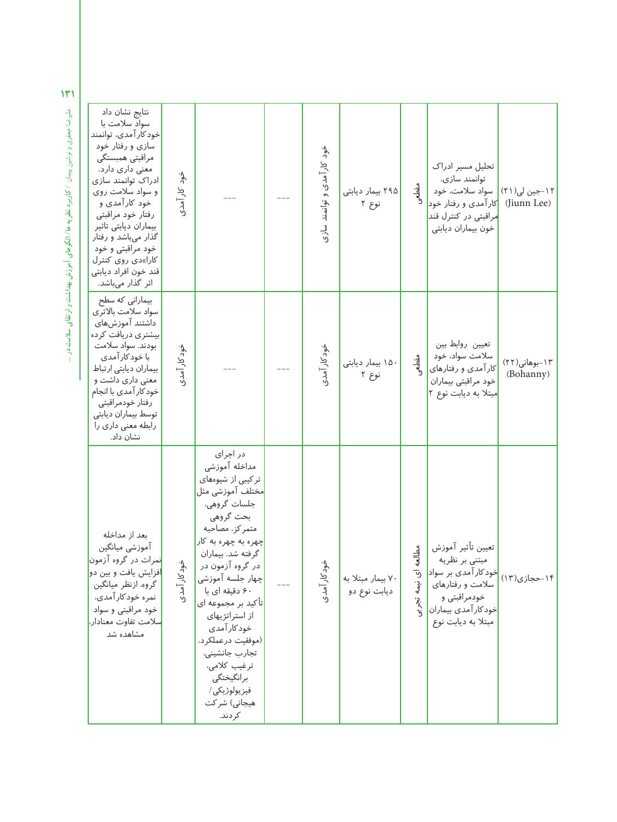| نتايج نشان داد<br>سواد سلامت با<br>خود کار آمدی، توانمند<br>سازی و رفتار خود<br>مراقبتی همبستگی<br>معنی داری دارد.<br>ادراک توانمند سازی<br>و سواد سلامت روی<br>خود کارآمدی و<br>رفتار خود مراقبتی<br>بيماران ديابتى تاثير<br>گذار میباشد و رفتار<br>خود مراقبتی و خود<br>کارا»دی روی کنترل<br>قند خون افراد ديابتى<br>اثر گذار میباشد. | خود کار آمدی |                                                                                                                                                                                                                                                                                                                                                                                                    |     | خود کار آمدی و توانمند سازی | ۲۹۵ بیمار دیابتی<br>نوع ۲         | مقطعى                                              | تحلیل مسیر ادراک<br>توانمند سازى،<br>۱۲-جین لی(۲۱)   سواد سلامت، خود<br> کار آمدی و رفتار خود<br><mark>مراقبتی در کنترل قند</mark><br>خون بيماران ديابتى                              | (Jiunn Lee)                |
|-----------------------------------------------------------------------------------------------------------------------------------------------------------------------------------------------------------------------------------------------------------------------------------------------------------------------------------------|--------------|----------------------------------------------------------------------------------------------------------------------------------------------------------------------------------------------------------------------------------------------------------------------------------------------------------------------------------------------------------------------------------------------------|-----|-----------------------------|-----------------------------------|----------------------------------------------------|---------------------------------------------------------------------------------------------------------------------------------------------------------------------------------------|----------------------------|
| بیمارانی که سطح<br>سواد سلامت بالاترى<br>داشتند آموزشهای<br>بیشتری دریافت کرده<br>بودند. سواد سلامت<br>با خود کار آمدی<br>بيماران ديابتي ارتباط<br>معنی داری داشت و<br>خود کار آمدی با انجام<br>رفتار خودمراقبتي<br>توسط بيماران ديابتى<br>رابطه معنی داری را<br>نشان داد.                                                              | خود کار آمدی |                                                                                                                                                                                                                                                                                                                                                                                                    |     | خود کار آمدی                | ۱۵۰ بیمار دیابتی<br>نوع ۲         | مقطعر                                              | تعيين روابط بين<br>سلامت سواد، خود<br>کار آمدی و رفتارهای<br>خود مراقبتی بیماران<br>مبتلا به ديابت نوع ٢                                                                              | ١٣-بوهاني(٢٢)<br>(Bohanny) |
| بعد از مداخله<br>آموزشي ميانگين<br><mark>نمرات در گروه آزمون</mark><br>افزایش یافت و بین دو<br>گروه، ازنظر میانگین<br>نمره خود کار آمدی،<br>خود مراقبتی و سواد<br><mark>سلامت تفاوت معنادار،</mark><br>مشاهده شد                                                                                                                        | خود کار آمدی | در اجرای<br>مداخله آموزشى<br>تر کیبی از شیوههای<br>مختلف آموزشی مثل<br>جلسات گروهي،<br>بحث گروهي<br>متمركز، مصاحبه<br>چهره به چهره به کار<br>گرفته شد. بیماران<br>در گروه آزمون در<br>چهار جلسه آموزشی<br>۶۰ دقیقه ای با<br> تأكيد بر مجموعه اي<br>از استراتژیهای<br>خود کار آمدی<br>(موفقيت درعملكرد،<br>تجارب جانشيني،<br>ترغيب كلامي،<br>برانگيختگي<br>فيزيولوژيكى/<br>هیجانی) شر کت<br>كر دند. | $-$ | خود کار آمدی                | ۷۰ بیمار مبتلا به<br>ديابت نوع دو | مطالع<br>ᢦ<br>$\bar{e}$<br>نىھە<br>ئە<br>انې<br>زړ | تعيين تأثير آموزش<br>مبتنی بر نظریه<br>۱۴-حجازی(۱۳) <mark>خود کار آمدی بر سواد</mark> <mark>.</mark><br>سلامت و رفتارهای<br>خودمراقبتی و<br>خودكار آمدى بيماران<br>مبتلا به ديابت نوع |                            |

عليرضا جعفرى ونوشين پيمان **/ كاربرد نظريهها/ الگوهاى آموزش بهداشت وارتقاى سلامت در**هم المبرِّضا جعفري ونوشين بيمان / كاربرد نظر به ها / **الكوهاي آموزش بهداشت و ارتقاي سلامت در** ...<br>ا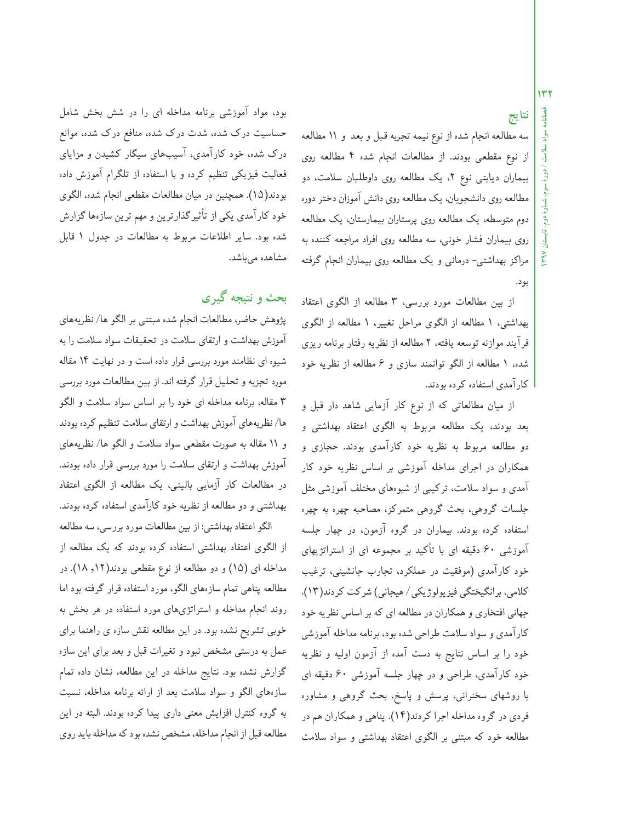# **نتايج**

سه مطالعه انجامشده از نوع نيمه تجربه قبل و بعد و 11 مطالعه از نوع مقطعى بودند . از مطالعات انجام شده 4 مطالعه روى بيماران ديابتى نوع ٢، يك مطالعه روى داوطلبان سلامت، دو مطالعه روى دانشجويان، يك مطالعه روى دانش آموزان دختر دوره دوم متوسطه، يك مطالعه روى پرستاران بيمارستان، يك مطالعه روى بيماران فشار خونى، سه مطالعه روى افراد مراجعه كننده به مراكز بهداشتى- درمانى و يك مطالعه روى بيماران انجام گرفته بود .

از بين مطالعات مورد بررسى، 3 مطالعه از الگوى اعتقاد بهداشتى، 1 مطالعه از الگوى مراحل تغيير، 1 مطالعه از الگوى فرآيند موازنه توسعه يافته، 2 مطالعه از نظريه رفتار برنامه ريزى شده، 1 مطالعه از الگو توانمند سازى و 6 مطالعه از نظريه خود كارآمدى استفاده كرده بودند .

از ميان مطالعاتى كه از نوع كار آزمايى شاهد دار قبل و بعد بودند، يك مطالعه مربوط به الگوى اعتقاد بهداشتى و دو مطالعه مربوط به نظريه خود كارآمدى بودند . حجازى و همكاران در اجراى مداخله آموزشى بر اساس نظريه خود كار آمدى و سواد سلامت، تركيبى از شيوههاى مختلف آموزشى مثل جلسات گروهى، بحث گروهى متمركز، مصاحبه چهره به چهره استفاده كرده بودند . بيماران در گروه آزمون، در چهار جلسه آموزشى 60 دقيقه اى با تأكيد بر مجموعه اى از استراتژيهاى خود كارآمدى (موفقيت در عملكرد، تجارب جانشينى، ترغيب كلامى، برانگيختگى فيزيولوژيكى/ هيجانى) شركت كردند (13). جهانى افتخارى و همكاران در مطالعه اى كه براساس نظريه خود كارآمدى وسواد سلامت طراحى شده بود، برنامه مداخله آموزشى خود را بر اساس نتايج به دست آمده از آزمون اوليه و نظريه خود كارآمدى، طراحى و در چهار جلسه آموزشى 60 دقيقه اى با روشهاى سخنرانى، پرسش و پاسخ، بحث گروهى و مشاوره فردى در گروه مداخله اجرا كردند (14). پناهى و همكاران هم در مطالعه خود كه مبتنى بر الگوى اعتقاد بهداشتى و سواد سلامت

بود، مواد آموزشى برنامه مداخله اى را در شش بخش شامل حساسيت درك شده، شدت درك شده، منافع درك شده، موانع درك شده، خود كارآمدى، آسيبهاى سيگار كشيدن و مزاياى فعاليت فيزيكى تنظيم كرده و با استفاده از تلگرام آموزش داده بودند (15). همچنين در ميان مطالعات مقطعى انجامشده، الگوى خود كارآمدى يكى از تأثيرگذارترين ومهم ترين سازههاگزارش شده بود . ساير اطلاعات مربوط به مطالعات در جدول 1 قابل مشاهده مىباشد .

# **بحث و نتيجه گيرى**

پژوهش حاضر، مطالعات انجامشده مبتنى بر الگوها/ نظريههاى آموزش بهداشت و ارتقاى سلامت در تحقيقات سواد سلامت را به شيوه اى نظامند مورد بررسى قرار داده است و در نهايت 14 مقاله مورد تجزيه و تحليل قرارگرفته اند . از بين مطالعات مورد بررسى 3 مقاله، برنامه مداخله اى خود را بر اساس سواد سلامت و الگو ها/ نظريههاى آموزش بهداشت وارتقاى سلامت تنظيم كرده بودند و 11 مقاله به صورت مقطعى سواد سلامت و الگو ها/ نظريههاى آموزش بهداشت و ارتقاى سلامت را مورد بررسى قرار داده بودند . در مطالعات كار آزمايى بالينى، يك مطالعه از الگوى اعتقاد بهداشتى و دو مطالعه از نظريه خود كارآمدى استفاده كرده بودند .

الگو اعتقاد بهداشتى: از بين مطالعات مورد بررسى، سه مطالعه از الگوى اعتقاد بهداشتى استفاده كرده بودند كه يك مطالعه از مداخله اى (15) و دو مطالعه از نوع مقطعى بودند (,12 18). در مطالعه پناهى تمامسازههاى الگو، مورد استفاده قرارگرفته بود اما روند انجام مداخله و استراتژىهاى مورد استفاده در هر بخش به خوبى تشريح نشده بود . در اين مطالعه نقش سازه ى راهنما براى عمل به درستى مشخص نبود و تغيرات قبل و بعد براى اين سازه گزارش نشده بود . نتايج مداخله در اين مطالعه، نشان داده تمام سازههاى الگو و سواد سلامت بعد از ارائه برنامه مداخله، نسبت به گروه كنترل افزايش معنى دارى پيدا كرده بودند . البته در اين مطالعه قبل از انجام مداخله، مشخص نشده بود كه مداخله بايد روى

 **دوم، تابستان 1397**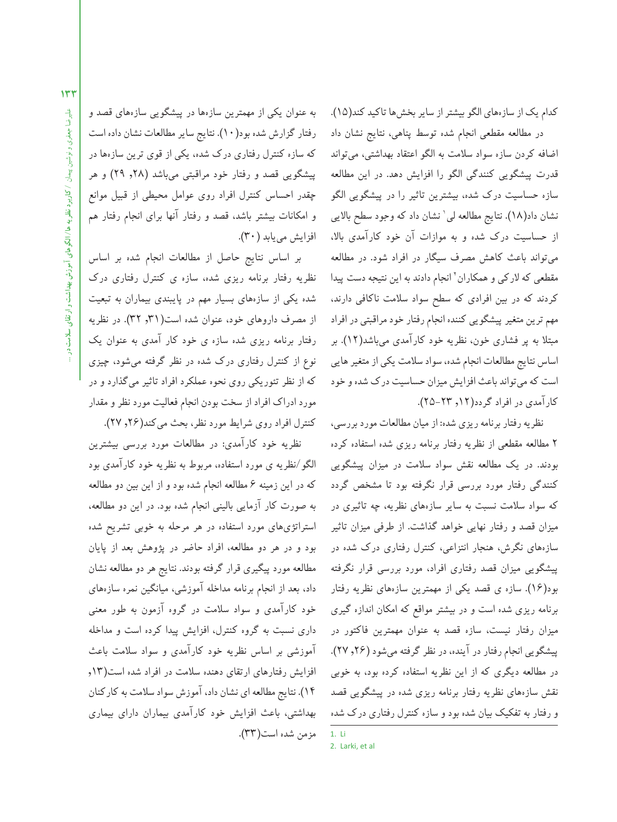كدام يك از سازههاى الگو بيشتر از ساير بخشها تاكيد كند(١٥). در مطالعه مقطعى انجام شده توسط پناهى، نتايج نشان داد

اضافه كردن سازه سواد سلامت به الگو اعتقاد بهداشتى، مىتواند قدرت پيشگويى كنندگى الگو را افزايش دهد . در اين مطالعه سازه حساسيت درك شده، بيشترين تاثير را در پيشگويى الگو نشان داد(١٨). نتايج مطالعه لى ٰ نشان داد كه وجود سطح بالايى از حساسيت درك شده و به موازات آن خود كارآمدي بالا، مىتواند باعث كاهش مصرف سيگار در افراد شود . در مطالعه مقطعى كه لاركى و همكاران<sup>٬</sup> انجام دادند به اين نتيجه دست پيدا كردند كه در بين افرادى كه سطح سواد سلامت ناكافى دارند، مهم ترين متغيرپيشگويى كننده انجامرفتار خود مراقبتى درافراد مبتلا به پر فشارى خون، نظريه خود كارآمدى مىباشد (12). بر اساس نتايج مطالعات انجام شده، سواد سلامت يكي از متغير هايي است كهمىتواند باعث افزايش ميزان حساسيت درك شدهو خود كارآمدى در افراد گردد(١٢, ٢٣-٢۵).

نظريه رفتار برنامه ريزي شده: از ميان مطالعات مورد بررسي، 2 مطالعه مقطعى از نظريه رفتار برنامه ريزى شده استفاده كرده بودند . در يك مطالعه نقش سواد سلامت در ميزان پيشگويى كنندگى رفتار مورد بررسى قرار نگرفته بود تا مشخص گردد كه سواد سلامت نسبت به ساير سازههاى نظريه، چه تاثيرى در ميزان قصد و رفتار نهايى خواهد گذاشت. از طرفى ميزان تاثير سازههاى نگرش، هنجار انتزاعى، كنترل رفتارى درك شده در پيشگويى ميزان قصد رفتارى افراد، مورد بررسى قرار نگرفته بود (16). سازه ى قصد يكى از مهمترين سازههاى نظريه رفتار برنامه ريزى شده است و در بيشتر مواقع كه امكان اندازه گيرى ميزان رفتار نيست، سازه قصد به عنوان مهمترين فاكتور در پيشگويى انجام رفتار در آينده، در نظرگرفته مىشود (,26 27). در مطالعه ديگرى كه از اين نظريه استفاده كرده بود، به خوبى نقش سازههاى نظريه رفتار برنامه ريزى شده در پيشگويى قصد و رفتار به تفكيك بيان شده بود وسازه كنترل رفتارى درك شده

1. Li 2. Larki, et al

به عنوان يكى از مهمترين سازهها در پيشگويى سازههاى قصد و رفتارگزارش شده بود (10). نتايج سايرمطالعاتنشان داده است كه سازه كنترل رفتارى درك شده، يكى از قوى ترين سازهها در پيشگويى قصد و رفتار خود مراقبتى مىباشد (,28 29) و هر چقدر احساس كنترل افراد روى عوامل محيطى از قبيل موانع و امكانات بيشتر باشد، قصد و رفتار آنها براى انجام رفتار هم افزايش مىيابد (30).

بر اساس نتايج حاصل از مطالعات انجام شده بر اساس نظريه رفتار برنامه ريزى شده، سازه ى كنترل رفتارى درك شده يكى از سازههاى بسيار مهم در پايبندى بيماران به تبعيت از مصرف داروهاى خود، عنوان شده است(,31 32). در نظريه رفتار برنامه ريزى شده سازه ى خود كار آمدى به عنوان يك نوع از كنترل رفتارى درك شده در نظر گرفته مىشود، چيزى كه از نظر تئوريكى روى نحوه عملكرد افراد تاثير مىگذارد و در مورد ادراك افراد ازسخت بودن انجام فعاليت مورد نظر و مقدار كنترل افراد روى شرايط مورد نظر، بحث مى كند(٢۶, ٢٧).

نظريه خود كارآمدى: در مطالعات مورد بررسى بيشترين الگو/نظريه ى مورد استفاده، مربوط به نظريه خود كارآمدى بود كه در اين زمينه 6 مطالعه انجام شده بود و از اين بين دو مطالعه به صورت كار آزمايى بالينى انجام شده بود . در اين دو مطالعه، استراتژىهاى مورد استفاده در هر مرحله به خوبى تشريح شده بود و در هر دو مطالعه، افراد حاضر در پژوهش بعد از پايان مطالعه مورد پيگيرى قرار گرفته بودند . نتايج هر دو مطالعه نشان داد، بعد از انجام برنامه مداخله آموزشى، ميانگين نمره سازههاى خود كارآمدى و سواد سلامت در گروه آزمون به طور معنى دارى نسبت به گروه كنترل، افزايش پيدا كرده است و مداخله آموزشى بر اساس نظريه خود كارآمدى و سواد سلامت باعث افزايش رفتارهاى ارتقاى دهنده سلامت در افراد شده است(,13 14). نتايج مطالعهاى نشان داد، آموزش سواد سلامت بهكاركنان بهداشتى، باعث افزايش خود كارآمدى بيماران داراى بيمارى مزمن شده است(33).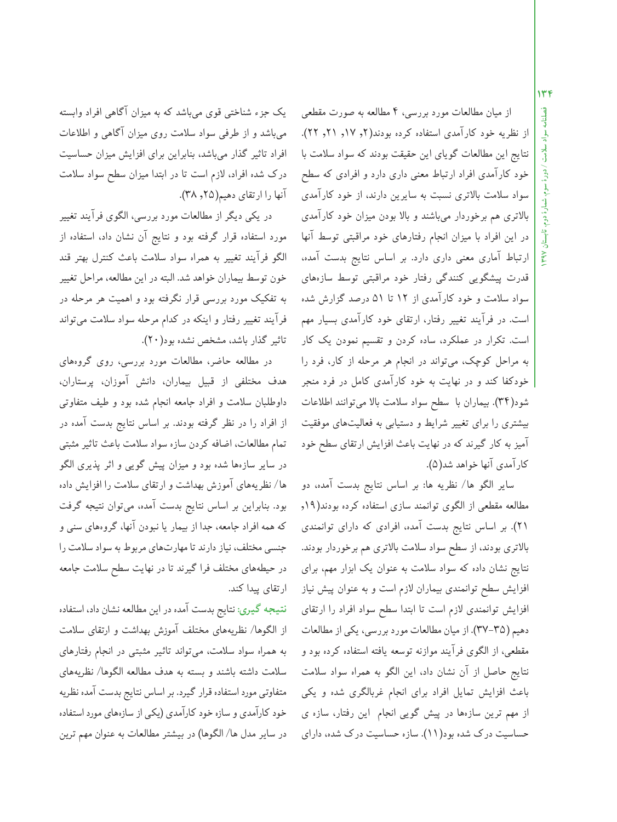**فصلنامه سواد سلامت / دورة سوم، شمارة دوم، تابستان 1397 134**

از ميان مطالعات مورد بررسى، 4 مطالعه به صورت مقطعى از نظريه خود كارآمدى استفاده كرده بودند(٢, ١٧, ٢١, ٢٢). نتايج اين مطالعات گوياى اين حقيقت بودند كه سواد سلامت با خود كارآمدى افراد ارتباط معنى دارى دارد و افرادى كه سطح سواد سلامت بالاترى نسبت به سايرين دارند، از خود كارآمدى بالاترى هم برخوردار مىباشند و بالا بودن ميزان خود كارآمدى در اين افراد با ميزان انجام رفتارهاى خود مراقبتى توسط آنها ارتباط آمارى معنى دارى دارد . بر اساس نتايج بدست آمده، قدرت پيشگويى كنندگى رفتار خود مراقبتى توسط سازههاى سواد سلامت و خود كارآمدى از 12 تا 51 درصد گزارش شده است. در فرآيند تغيير رفتار، ارتقاى خود كارآمدى بسيار مهم است. تكرار در عملكرد، ساده كردن و تقسيم نمودن يك كار به مراحل كوچك، مىتواند در انجام هر مرحله از كار، فرد را خودكفا كند و در نهايت به خود كارآمدى كامل در فرد منجر شود (34). بيماران با سطح سواد سلامت بالا مىتوانند اطلاعات بيشترى را براى تغيير شرايط و دستيابى به فعاليتهاى موفقيت آميز به كار گيرند كه در نهايت باعث افزايش ارتقاى سطح خود كارآمدى آنها خواهد شد (5).

ساير الگو ها/ نظريه ها: بر اساس نتايج بدست آمده، دو مطالعه مقطعى از الگوى توانمند سازى استفاده كرده بودند (,19 21). بر اساس نتايج بدست آمده، افرادى كه داراى توانمندى بالاترى بودند، از سطح سواد سلامت بالاترى هم برخوردار بودند . نتايج نشان داده كه سواد سلامت به عنوان يك ابزار مهم، براى افزايش سطح توانمندى بيماران لازم است و به عنوان پيش نياز افزايش توانمندى لازم است تا ابتدا سطح سواد افراد را ارتقاى دهيم (٣٥-٣٧). از ميان مطالعات مورد بررسى، يكي از مطالعات مقطعى، از الگوى فرآيند موازنه توسعه يافته استفاده كرده بود و نتايج حاصل از آن نشان داد، اين الگو به همراه سواد سلامت باعث افزايش تمايل افراد براى انجام غربالگرى شده و يكى از مهم ترين سازهها در پيش گويى انجام اين رفتار، سازه ى حساسيت درك شده بود (11). سازه حساسيت درك شده، داراى

يك جزء شناختى قوى مىباشد كه به ميزان آگاهى افراد وابسته مىباشد و از طرفى سواد سلامت روى ميزان آگاهى و اطلاعات افراد تاثير گذار مىباشد، بنابراين براى افزايش ميزان حساسيت درك شده افراد، لازم است تا در ابتدا ميزان سطح سواد سلامت آنها را ارتقاى دهيم(٢٥, ٣٨).

در يكى ديگر از مطالعات مورد بررسى، الگوى فرآيند تغيير مورد استفاده قرار گرفته بود و نتايج آن نشان داد، استفاده از الگو فرآيند تغيير به همراه سواد سلامت باعث كنترل بهتر قند خون توسط بيماران خواهد شد . البته در اين مطالعه، مراحل تغيير به تفكيك مورد بررسى قرار نگرفته بود و اهميت هر مرحله در فرآيند تغيير رفتار و اينكه در كدام مرحله سواد سلامت مىتواند تاثير گذار باشد، مشخص نشده بود (20).

در مطالعه حاضر، مطالعات مورد بررسى، روى گروههاى هدف مختلفى از قبيل بيماران، دانش آموزان، پرستاران، داوطلبان سلامت و افراد جامعه انجام شده بود و طيف متفاوتى از افراد را در نظر گرفته بودند . بر اساس نتايج بدست آمده در تمام مطالعات، اضافه كردن سازهسواد سلامت باعث تاثير مثبتى در ساير سازهها شده بود و ميزان پيش گويى و اثر پذيرى الگو ها/ نظريههاى آموزش بهداشت و ارتقاى سلامت را افزايش داده بود . بنابراين بر اساس نتايج بدست آمده، مىتوان نتيجه گرفت كه همه افراد جامعه، جدا از بيمار يا نبودن آنها، گروههاى سنى و جنسى مختلف، نيازدارند تا مهارتهاى مربوط بهسواد سلامت را در حيطههاى مختلف فرا گيرند تا در نهايت سطح سلامت جامعه ارتقاى پيدا كند .

**نتيجهگيرى:** نتايج بدست آمده در اين مطالعه نشان داد، استفاده از الگوها/ نظريههاى مختلف آموزش بهداشت و ارتقاى سلامت به همراه سواد سلامت، مىتواند تاثير مثبتى در انجام رفتارهاى سلامت داشته باشند و بسته به هدف مطالعه الگوها/ نظريههاى متفاوتى مورد استفاده قرارگيرد . براساس نتايج بدست آمده نظريه خود كارآمدى وسازه خود كارآمدى (يكى ازسازههاى مورد استفاده درساير مدل ها/ الگوها) در بيشتر مطالعات به عنوان مهم ترين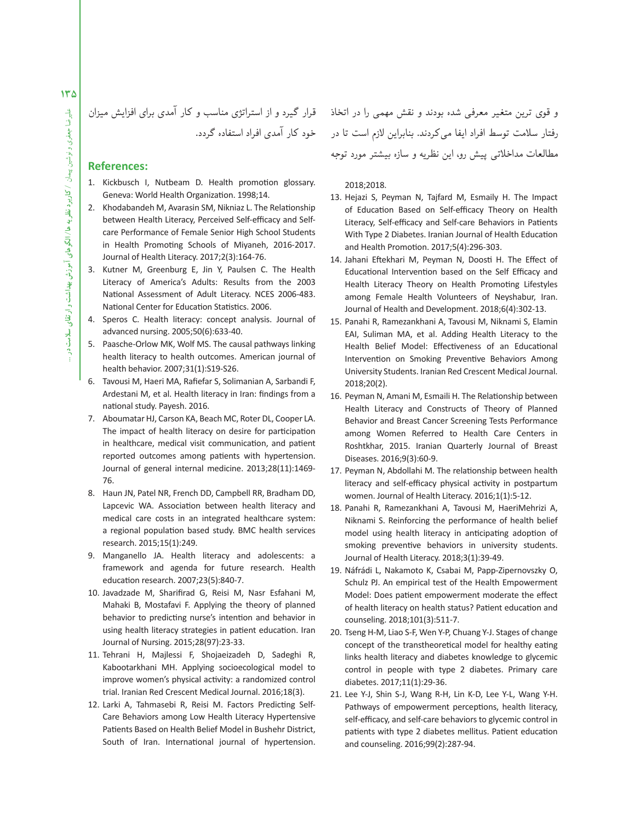$140$ 

قرار گيرد و از استراتژى مناسب و كار آمدى براى افزايش ميزان خود كار آمدى افراد استفاده گردد .

### **References:**

- 1. Kickbusch I, Nutbeam D. Health promotion glossary. Geneva: World Health Organization. 1998;14.
- 2. Khodabandeh M, Avarasin SM, Nikniaz L. The Relationship between Health Literacy, Perceived Self-efficacy and Selfcare Performance of Female Senior High School Students in Health Promoting Schools of Miyaneh, 2016-2017. Journal of Health Literacy. 2017;2(3):164-76.
- 3. Kutner M, Greenburg E, Jin Y, Paulsen C. The Health Literacy of America's Adults: Results from the 2003 National Assessment of Adult Literacy. NCES 2006-483. National Center for Education Statistics. 2006.
- 4. Speros C. Health literacy: concept analysis. Journal of advanced nursing. 2005;50(6):633-40.
- 5. Paasche-Orlow MK, Wolf MS. The causal pathways linking health literacy to health outcomes. American journal of health behavior. 2007;31(1):S19-S26.
- 6. Tavousi M, Haeri MA, Rafiefar S, Solimanian A, Sarbandi F, Ardestani M, et al. Health literacy in Iran: findings from a national study. Payesh. 2016.
- 7. Aboumatar HJ, Carson KA, Beach MC, Roter DL, Cooper LA. The impact of health literacy on desire for participation in healthcare, medical visit communication, and patient reported outcomes among patients with hypertension. Journal of general internal medicine. 2013;28(11):1469- 76.
- 8. Haun JN, Patel NR, French DD, Campbell RR, Bradham DD, Lapcevic WA. Association between health literacy and medical care costs in an integrated healthcare system: a regional population based study. BMC health services research. 2015;15(1):249.
- 9. Manganello JA. Health literacy and adolescents: a framework and agenda for future research. Health education research. 2007;23(5):840-7.
- 10. Javadzade M, Sharifirad G, Reisi M, Nasr Esfahani M, Mahaki B, Mostafavi F. Applying the theory of planned behavior to predicting nurse's intention and behavior in using health literacy strategies in patient education. Iran Journal of Nursing. 2015;28(97):23-33.
- 11. Tehrani H, Majlessi F, Shojaeizadeh D, Sadeghi R, Kabootarkhani MH. Applying socioecological model to improve women's physical activity: a randomized control trial. Iranian Red Crescent Medical Journal. 2016;18(3).
- 12. Larki A, Tahmasebi R, Reisi M. Factors Predicting Self-Care Behaviors among Low Health Literacy Hypertensive Patients Based on Health Belief Model in Bushehr District, South of Iran. International journal of hypertension.

و قوى ترين متغير معرفى شده بودند و نقش مهمى را در اتخاذ رفتار سلامت توسط افراد ايفا مى كردند. بنابراين لازم است تا در مطالعات مداخلاتى پيش رو، اين نظريه و سازه بيشتر مورد توجه

2018;2018.

- 13. Hejazi S, Peyman N, Tajfard M, Esmaily H. The Impact of Education Based on Self-efficacy Theory on Health Literacy, Self-efficacy and Self-care Behaviors in Patients With Type 2 Diabetes. Iranian Journal of Health Education and Health Promotion. 2017;5(4):296-303.
- 14. Jahani Eftekhari M, Peyman N, Doosti H. The Effect of Educational Intervention based on the Self Efficacy and Health Literacy Theory on Health Promoting Lifestyles among Female Health Volunteers of Neyshabur, Iran. Journal of Health and Development. 2018;6(4):302-13.
- 15. Panahi R, Ramezankhani A, Tavousi M, Niknami S, Elamin EAI, Suliman MA, et al. Adding Health Literacy to the Health Belief Model: Effectiveness of an Educational Intervention on Smoking Preventive Behaviors Among University Students. Iranian Red Crescent Medical Journal. 2018;20(2).
- 16. Peyman N, Amani M, Esmaili H. The Relationship between Health Literacy and Constructs of Theory of Planned Behavior and Breast Cancer Screening Tests Performance among Women Referred to Health Care Centers in Roshtkhar, 2015. Iranian Quarterly Journal of Breast Diseases. 2016;9(3):60-9.
- 17. Peyman N, Abdollahi M. The relationship between health literacy and self-efficacy physical activity in postpartum women. Journal of Health Literacy. 2016;1(1):5-12.
- 18. Panahi R, Ramezankhani A, Tavousi M, HaeriMehrizi A, Niknami S. Reinforcing the performance of health belief model using health literacy in anticipating adoption of smoking preventive behaviors in university students. Journal of Health Literacy. 2018;3(1):39-49.
- 19. Náfrádi L, Nakamoto K, Csabai M, Papp-Zipernovszky O, Schulz PJ. An empirical test of the Health Empowerment Model: Does patient empowerment moderate the effect of health literacy on health status? Patient education and counseling. 2018;101(3):511-7.
- 20. Tseng H-M, Liao S-F, Wen Y-P, Chuang Y-J. Stages of change concept of the transtheoretical model for healthy eating links health literacy and diabetes knowledge to glycemic control in people with type 2 diabetes. Primary care diabetes. 2017;11(1):29-36.
- 21. Lee Y-J, Shin S-J, Wang R-H, Lin K-D, Lee Y-L, Wang Y-H. Pathways of empowerment perceptions, health literacy, self-efficacy, and self-care behaviors to glycemic control in patients with type 2 diabetes mellitus. Patient education and counseling. 2016;99(2):287-94.